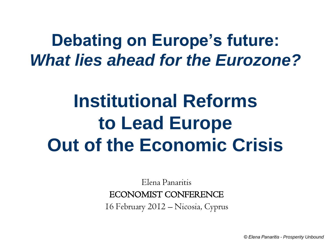### **Debating on Europe's future:** *What lies ahead for the Eurozone?*

# **Institutional Reforms to Lead Europe Out of the Economic Crisis**

Elena Panaritis

#### ECONOMIST CONFERENCE

16 February 2012 – Nicosia, Cyprus

*© Elena Panaritis - Prosperity Unbound*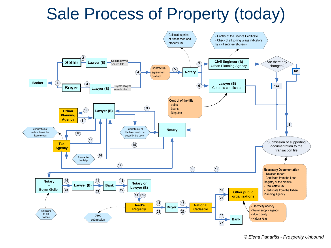## Sale Process of Property (today)

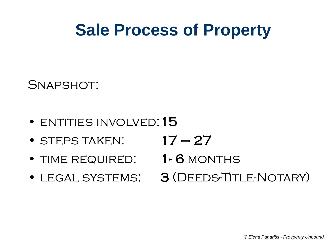## **Sale Process of Property**

SNAPSHOT:

- ENTITIES INVOLVED: 15
- STEPS TAKEN:  $17 27$
- TIME REQUIRED: 1-6 MONTHS
- 
- 
- 
- LEGAL SYSTEMS: 3 (DEEDS-TITLE-NOTARY)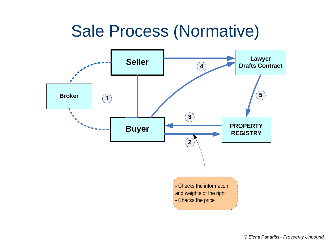#### Sale Process (Normative)

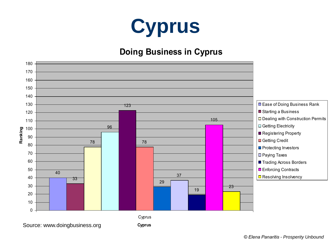

#### **Doing Business in Cyprus**

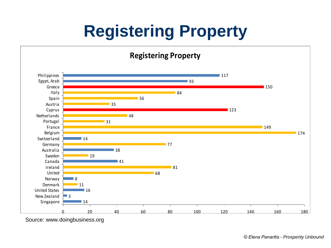# **Registering Property**

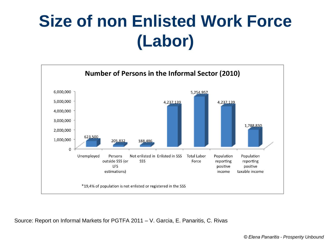# **Size of non Enlisted Work Force (Labor)**



Source: Report on Informal Markets for PGTFA 2011 – V. Garcia, E. Panaritis, C. Rivas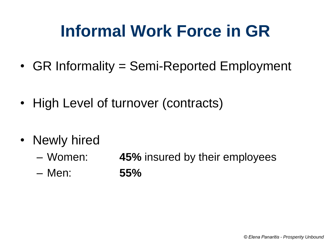# **Informal Work Force in GR**

- GR Informality = Semi-Reported Employment
- High Level of turnover (contracts)
- Newly hired
	- Women: **45%** insured by their employees
	- Men: **55%**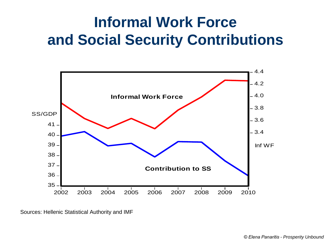#### **Informal Work Force and Social Security Contributions**



Sources: Hellenic Statistical Authority and IMF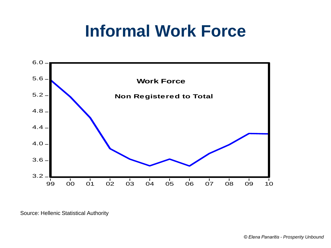## **Informal Work Force**

![](_page_9_Figure_1.jpeg)

Source: Hellenic Statistical Authority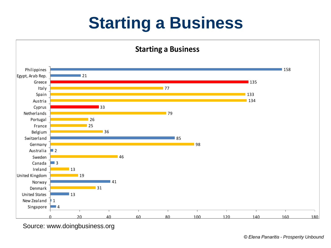# **Starting a Business**

![](_page_10_Figure_1.jpeg)

Source: www.doingbusiness.org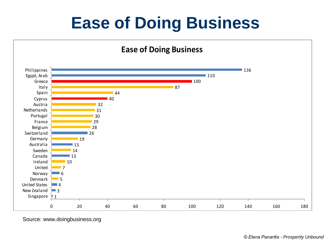# **Ease of Doing Business**

![](_page_11_Figure_1.jpeg)